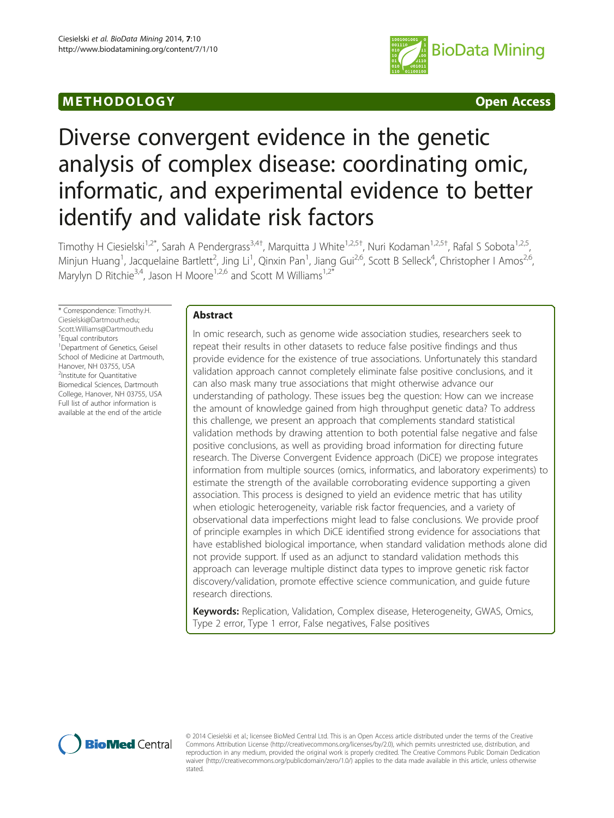# **METHODOLOGY CONSUMING ACCESS**



# Diverse convergent evidence in the genetic analysis of complex disease: coordinating omic, informatic, and experimental evidence to better identify and validate risk factors

Timothy H Ciesielski<sup>1,2\*</sup>, Sarah A Pendergrass<sup>3,4†</sup>, Marquitta J White<sup>1,2,5†</sup>, Nuri Kodaman<sup>1,2,5†</sup>, Rafal S Sobota<sup>1,2,5</sup>, Minjun Huang<sup>1</sup>, Jacquelaine Bartlett<sup>2</sup>, Jing Li<sup>1</sup>, Qinxin Pan<sup>1</sup>, Jiang Gui<sup>2,6</sup>, Scott B Selleck<sup>4</sup>, Christopher I Amos<sup>2,6</sup>, Marylyn D Ritchie<sup>3,4</sup>, Jason H Moore<sup>1,2,6</sup> and Scott M Williams<sup>1,2\*</sup>

\* Correspondence: [Timothy.H.](mailto:Timothy.H.Ciesielski@Dartmouth.edu) [Ciesielski@Dartmouth.edu](mailto:Timothy.H.Ciesielski@Dartmouth.edu); [Scott.Williams@Dartmouth.edu](mailto:Scott.Williams@Dartmouth.edu) † Equal contributors <sup>1</sup>Department of Genetics, Geisel School of Medicine at Dartmouth, Hanover, NH 03755, USA <sup>2</sup>Institute for Quantitative Biomedical Sciences, Dartmouth College, Hanover, NH 03755, USA Full list of author information is available at the end of the article

# Abstract

In omic research, such as genome wide association studies, researchers seek to repeat their results in other datasets to reduce false positive findings and thus provide evidence for the existence of true associations. Unfortunately this standard validation approach cannot completely eliminate false positive conclusions, and it can also mask many true associations that might otherwise advance our understanding of pathology. These issues beg the question: How can we increase the amount of knowledge gained from high throughput genetic data? To address this challenge, we present an approach that complements standard statistical validation methods by drawing attention to both potential false negative and false positive conclusions, as well as providing broad information for directing future research. The Diverse Convergent Evidence approach (DiCE) we propose integrates information from multiple sources (omics, informatics, and laboratory experiments) to estimate the strength of the available corroborating evidence supporting a given association. This process is designed to yield an evidence metric that has utility when etiologic heterogeneity, variable risk factor frequencies, and a variety of observational data imperfections might lead to false conclusions. We provide proof of principle examples in which DiCE identified strong evidence for associations that have established biological importance, when standard validation methods alone did not provide support. If used as an adjunct to standard validation methods this approach can leverage multiple distinct data types to improve genetic risk factor discovery/validation, promote effective science communication, and guide future research directions.

Keywords: Replication, Validation, Complex disease, Heterogeneity, GWAS, Omics, Type 2 error, Type 1 error, False negatives, False positives



© 2014 Ciesielski et al.; licensee BioMed Central Ltd. This is an Open Access article distributed under the terms of the Creative Commons Attribution License [\(http://creativecommons.org/licenses/by/2.0\)](http://creativecommons.org/licenses/by/2.0), which permits unrestricted use, distribution, and reproduction in any medium, provided the original work is properly credited. The Creative Commons Public Domain Dedication waiver [\(http://creativecommons.org/publicdomain/zero/1.0/\)](http://creativecommons.org/publicdomain/zero/1.0/) applies to the data made available in this article, unless otherwise stated.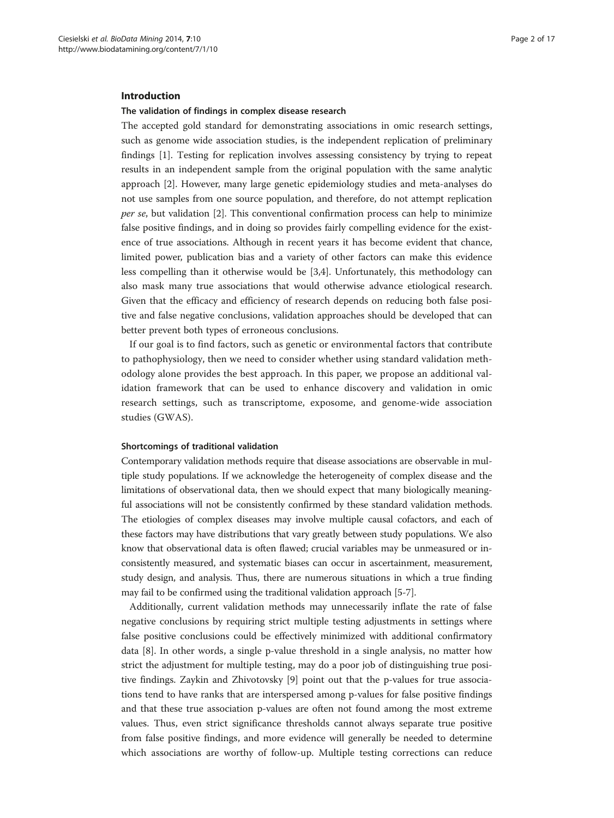#### Introduction

#### The validation of findings in complex disease research

The accepted gold standard for demonstrating associations in omic research settings, such as genome wide association studies, is the independent replication of preliminary findings [\[1](#page-15-0)]. Testing for replication involves assessing consistency by trying to repeat results in an independent sample from the original population with the same analytic approach [\[2\]](#page-15-0). However, many large genetic epidemiology studies and meta-analyses do not use samples from one source population, and therefore, do not attempt replication per se, but validation [[2\]](#page-15-0). This conventional confirmation process can help to minimize false positive findings, and in doing so provides fairly compelling evidence for the existence of true associations. Although in recent years it has become evident that chance, limited power, publication bias and a variety of other factors can make this evidence less compelling than it otherwise would be [\[3,4](#page-15-0)]. Unfortunately, this methodology can also mask many true associations that would otherwise advance etiological research. Given that the efficacy and efficiency of research depends on reducing both false positive and false negative conclusions, validation approaches should be developed that can better prevent both types of erroneous conclusions.

If our goal is to find factors, such as genetic or environmental factors that contribute to pathophysiology, then we need to consider whether using standard validation methodology alone provides the best approach. In this paper, we propose an additional validation framework that can be used to enhance discovery and validation in omic research settings, such as transcriptome, exposome, and genome-wide association studies (GWAS).

#### Shortcomings of traditional validation

Contemporary validation methods require that disease associations are observable in multiple study populations. If we acknowledge the heterogeneity of complex disease and the limitations of observational data, then we should expect that many biologically meaningful associations will not be consistently confirmed by these standard validation methods. The etiologies of complex diseases may involve multiple causal cofactors, and each of these factors may have distributions that vary greatly between study populations. We also know that observational data is often flawed; crucial variables may be unmeasured or inconsistently measured, and systematic biases can occur in ascertainment, measurement, study design, and analysis. Thus, there are numerous situations in which a true finding may fail to be confirmed using the traditional validation approach [[5-7\]](#page-15-0).

Additionally, current validation methods may unnecessarily inflate the rate of false negative conclusions by requiring strict multiple testing adjustments in settings where false positive conclusions could be effectively minimized with additional confirmatory data [\[8](#page-15-0)]. In other words, a single p-value threshold in a single analysis, no matter how strict the adjustment for multiple testing, may do a poor job of distinguishing true positive findings. Zaykin and Zhivotovsky [\[9](#page-15-0)] point out that the p-values for true associations tend to have ranks that are interspersed among p-values for false positive findings and that these true association p-values are often not found among the most extreme values. Thus, even strict significance thresholds cannot always separate true positive from false positive findings, and more evidence will generally be needed to determine which associations are worthy of follow-up. Multiple testing corrections can reduce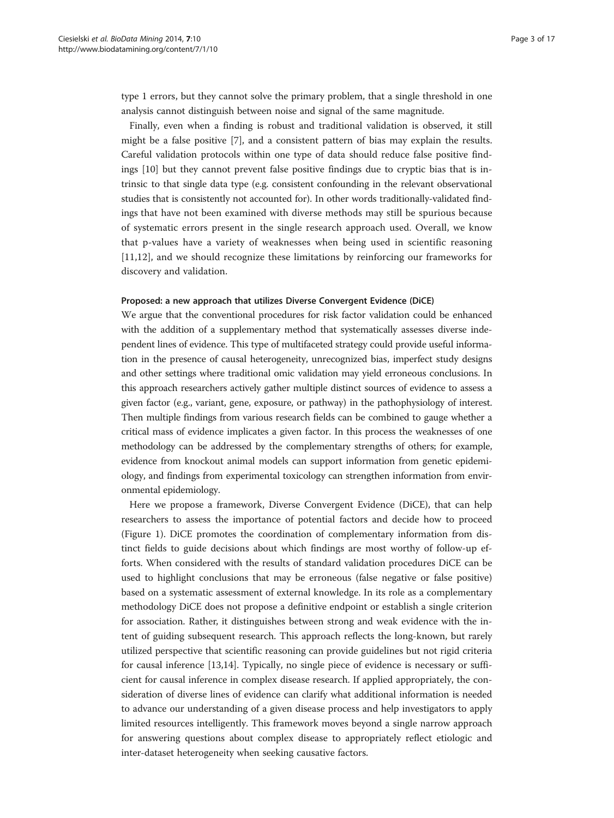type 1 errors, but they cannot solve the primary problem, that a single threshold in one analysis cannot distinguish between noise and signal of the same magnitude.

Finally, even when a finding is robust and traditional validation is observed, it still might be a false positive [[7\]](#page-15-0), and a consistent pattern of bias may explain the results. Careful validation protocols within one type of data should reduce false positive findings [[10\]](#page-15-0) but they cannot prevent false positive findings due to cryptic bias that is intrinsic to that single data type (e.g. consistent confounding in the relevant observational studies that is consistently not accounted for). In other words traditionally-validated findings that have not been examined with diverse methods may still be spurious because of systematic errors present in the single research approach used. Overall, we know that p-values have a variety of weaknesses when being used in scientific reasoning [[11,12](#page-15-0)], and we should recognize these limitations by reinforcing our frameworks for discovery and validation.

## Proposed: a new approach that utilizes Diverse Convergent Evidence (DiCE)

We argue that the conventional procedures for risk factor validation could be enhanced with the addition of a supplementary method that systematically assesses diverse independent lines of evidence. This type of multifaceted strategy could provide useful information in the presence of causal heterogeneity, unrecognized bias, imperfect study designs and other settings where traditional omic validation may yield erroneous conclusions. In this approach researchers actively gather multiple distinct sources of evidence to assess a given factor (e.g., variant, gene, exposure, or pathway) in the pathophysiology of interest. Then multiple findings from various research fields can be combined to gauge whether a critical mass of evidence implicates a given factor. In this process the weaknesses of one methodology can be addressed by the complementary strengths of others; for example, evidence from knockout animal models can support information from genetic epidemiology, and findings from experimental toxicology can strengthen information from environmental epidemiology.

Here we propose a framework, Diverse Convergent Evidence (DiCE), that can help researchers to assess the importance of potential factors and decide how to proceed (Figure [1\)](#page-3-0). DiCE promotes the coordination of complementary information from distinct fields to guide decisions about which findings are most worthy of follow-up efforts. When considered with the results of standard validation procedures DiCE can be used to highlight conclusions that may be erroneous (false negative or false positive) based on a systematic assessment of external knowledge. In its role as a complementary methodology DiCE does not propose a definitive endpoint or establish a single criterion for association. Rather, it distinguishes between strong and weak evidence with the intent of guiding subsequent research. This approach reflects the long-known, but rarely utilized perspective that scientific reasoning can provide guidelines but not rigid criteria for causal inference [[13,14\]](#page-15-0). Typically, no single piece of evidence is necessary or sufficient for causal inference in complex disease research. If applied appropriately, the consideration of diverse lines of evidence can clarify what additional information is needed to advance our understanding of a given disease process and help investigators to apply limited resources intelligently. This framework moves beyond a single narrow approach for answering questions about complex disease to appropriately reflect etiologic and inter-dataset heterogeneity when seeking causative factors.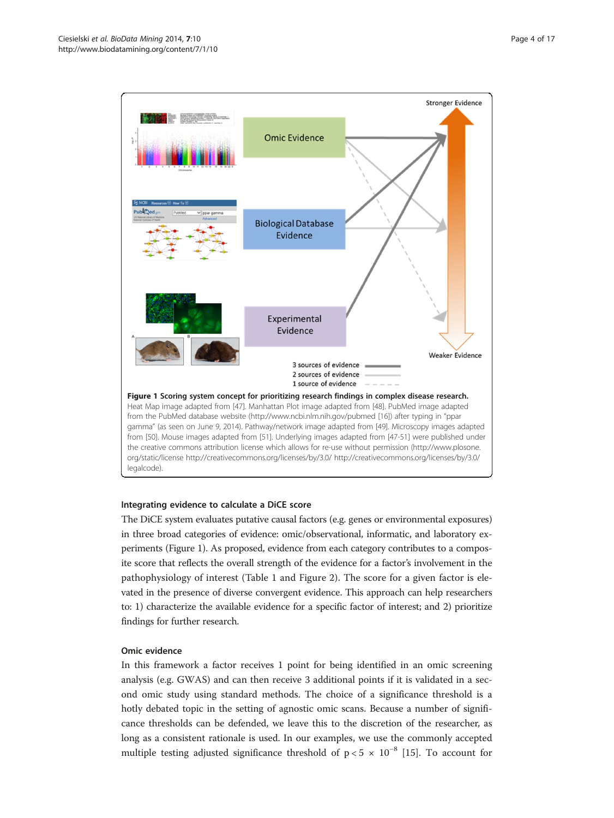<span id="page-3-0"></span>

## Integrating evidence to calculate a DiCE score

The DiCE system evaluates putative causal factors (e.g. genes or environmental exposures) in three broad categories of evidence: omic/observational, informatic, and laboratory experiments (Figure 1). As proposed, evidence from each category contributes to a composite score that reflects the overall strength of the evidence for a factor's involvement in the pathophysiology of interest (Table [1](#page-4-0) and Figure [2\)](#page-4-0). The score for a given factor is elevated in the presence of diverse convergent evidence. This approach can help researchers to: 1) characterize the available evidence for a specific factor of interest; and 2) prioritize findings for further research.

## Omic evidence

In this framework a factor receives 1 point for being identified in an omic screening analysis (e.g. GWAS) and can then receive 3 additional points if it is validated in a second omic study using standard methods. The choice of a significance threshold is a hotly debated topic in the setting of agnostic omic scans. Because a number of significance thresholds can be defended, we leave this to the discretion of the researcher, as long as a consistent rationale is used. In our examples, we use the commonly accepted multiple testing adjusted significance threshold of  $p < 5 \times 10^{-8}$  [\[15](#page-15-0)]. To account for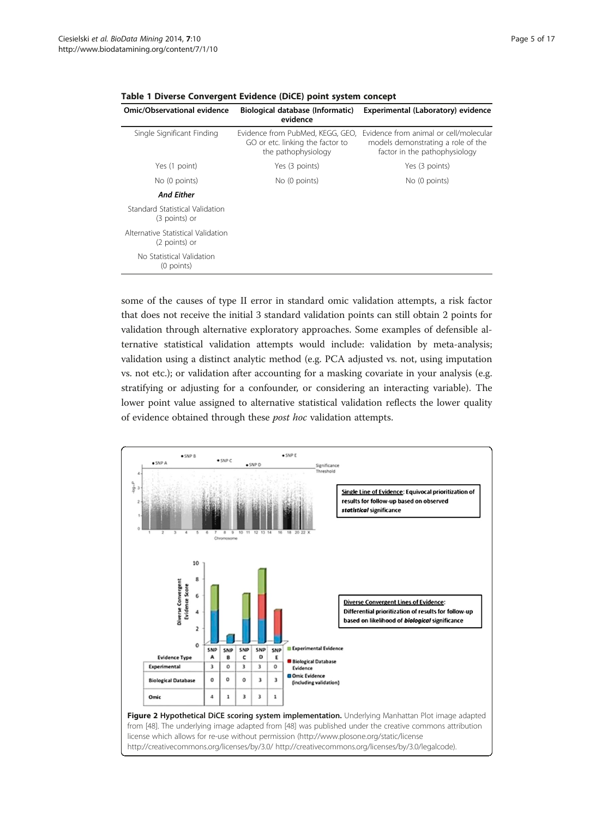| Omic/Observational evidence                         | Biological database (Informatic)<br>evidence                                                | Experimental (Laboratory) evidence                                                                            |  |  |  |  |  |  |  |
|-----------------------------------------------------|---------------------------------------------------------------------------------------------|---------------------------------------------------------------------------------------------------------------|--|--|--|--|--|--|--|
| Single Significant Finding                          | Evidence from PubMed, KEGG, GEO,<br>GO or etc. linking the factor to<br>the pathophysiology | Evidence from animal or cell/molecular<br>models demonstrating a role of the<br>factor in the pathophysiology |  |  |  |  |  |  |  |
| Yes (1 point)                                       | Yes (3 points)                                                                              | Yes (3 points)                                                                                                |  |  |  |  |  |  |  |
| No (0 points)                                       | No (0 points)                                                                               | No (0 points)                                                                                                 |  |  |  |  |  |  |  |
| <b>And Either</b>                                   |                                                                                             |                                                                                                               |  |  |  |  |  |  |  |
| Standard Statistical Validation<br>(3 points) or    |                                                                                             |                                                                                                               |  |  |  |  |  |  |  |
| Alternative Statistical Validation<br>(2 points) or |                                                                                             |                                                                                                               |  |  |  |  |  |  |  |
| No Statistical Validation<br>(0 points)             |                                                                                             |                                                                                                               |  |  |  |  |  |  |  |

<span id="page-4-0"></span>

some of the causes of type II error in standard omic validation attempts, a risk factor that does not receive the initial 3 standard validation points can still obtain 2 points for validation through alternative exploratory approaches. Some examples of defensible alternative statistical validation attempts would include: validation by meta-analysis; validation using a distinct analytic method (e.g. PCA adjusted vs. not, using imputation vs. not etc.); or validation after accounting for a masking covariate in your analysis (e.g. stratifying or adjusting for a confounder, or considering an interacting variable). The lower point value assigned to alternative statistical validation reflects the lower quality of evidence obtained through these post hoc validation attempts.

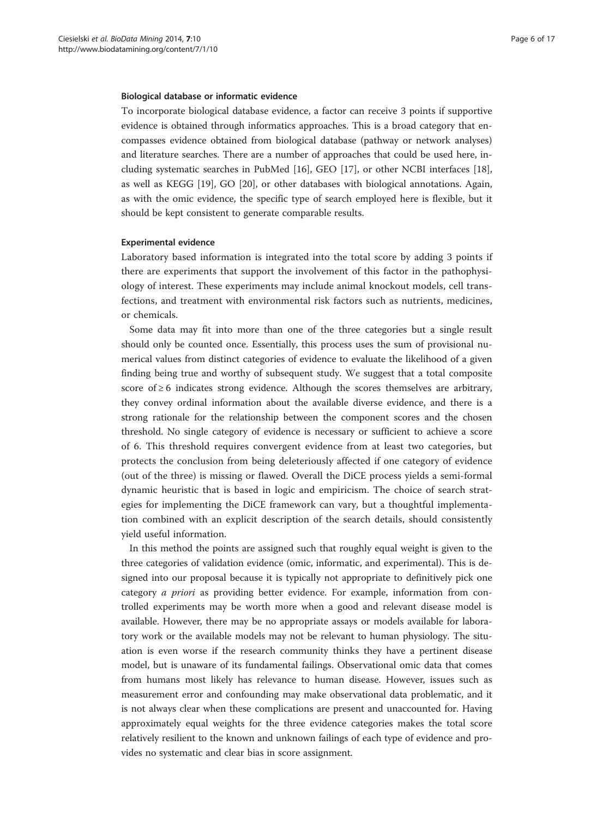#### Biological database or informatic evidence

To incorporate biological database evidence, a factor can receive 3 points if supportive evidence is obtained through informatics approaches. This is a broad category that encompasses evidence obtained from biological database (pathway or network analyses) and literature searches. There are a number of approaches that could be used here, including systematic searches in PubMed [[16\]](#page-15-0), GEO [[17](#page-15-0)], or other NCBI interfaces [[18](#page-15-0)], as well as KEGG [[19](#page-15-0)], GO [[20\]](#page-15-0), or other databases with biological annotations. Again, as with the omic evidence, the specific type of search employed here is flexible, but it should be kept consistent to generate comparable results.

#### Experimental evidence

Laboratory based information is integrated into the total score by adding 3 points if there are experiments that support the involvement of this factor in the pathophysiology of interest. These experiments may include animal knockout models, cell transfections, and treatment with environmental risk factors such as nutrients, medicines, or chemicals.

Some data may fit into more than one of the three categories but a single result should only be counted once. Essentially, this process uses the sum of provisional numerical values from distinct categories of evidence to evaluate the likelihood of a given finding being true and worthy of subsequent study. We suggest that a total composite score of  $\geq 6$  indicates strong evidence. Although the scores themselves are arbitrary, they convey ordinal information about the available diverse evidence, and there is a strong rationale for the relationship between the component scores and the chosen threshold. No single category of evidence is necessary or sufficient to achieve a score of 6. This threshold requires convergent evidence from at least two categories, but protects the conclusion from being deleteriously affected if one category of evidence (out of the three) is missing or flawed. Overall the DiCE process yields a semi-formal dynamic heuristic that is based in logic and empiricism. The choice of search strategies for implementing the DiCE framework can vary, but a thoughtful implementation combined with an explicit description of the search details, should consistently yield useful information.

In this method the points are assigned such that roughly equal weight is given to the three categories of validation evidence (omic, informatic, and experimental). This is designed into our proposal because it is typically not appropriate to definitively pick one category a priori as providing better evidence. For example, information from controlled experiments may be worth more when a good and relevant disease model is available. However, there may be no appropriate assays or models available for laboratory work or the available models may not be relevant to human physiology. The situation is even worse if the research community thinks they have a pertinent disease model, but is unaware of its fundamental failings. Observational omic data that comes from humans most likely has relevance to human disease. However, issues such as measurement error and confounding may make observational data problematic, and it is not always clear when these complications are present and unaccounted for. Having approximately equal weights for the three evidence categories makes the total score relatively resilient to the known and unknown failings of each type of evidence and provides no systematic and clear bias in score assignment.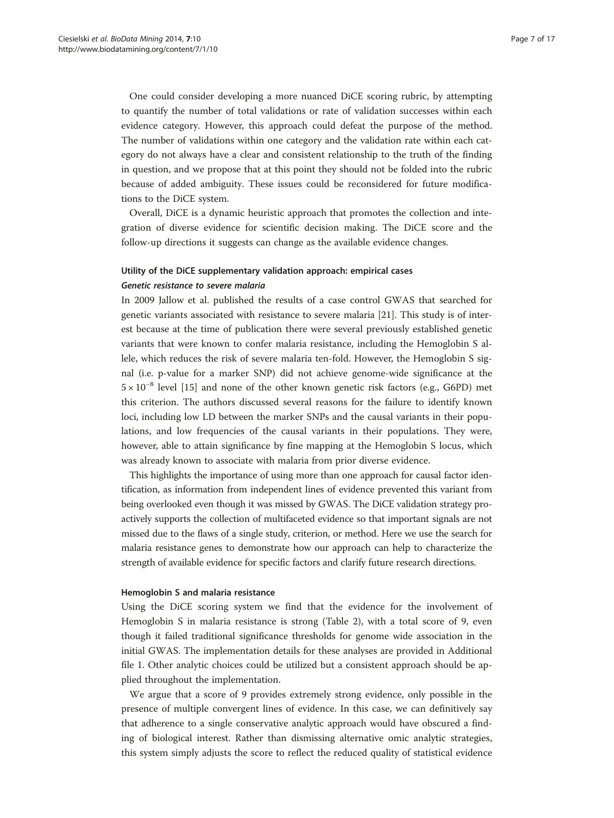One could consider developing a more nuanced DiCE scoring rubric, by attempting to quantify the number of total validations or rate of validation successes within each evidence category. However, this approach could defeat the purpose of the method. The number of validations within one category and the validation rate within each category do not always have a clear and consistent relationship to the truth of the finding in question, and we propose that at this point they should not be folded into the rubric because of added ambiguity. These issues could be reconsidered for future modifications to the DiCE system.

Overall, DiCE is a dynamic heuristic approach that promotes the collection and integration of diverse evidence for scientific decision making. The DiCE score and the follow-up directions it suggests can change as the available evidence changes.

# Utility of the DiCE supplementary validation approach: empirical cases Genetic resistance to severe malaria

In 2009 Jallow et al. published the results of a case control GWAS that searched for genetic variants associated with resistance to severe malaria [[21\]](#page-15-0). This study is of interest because at the time of publication there were several previously established genetic variants that were known to confer malaria resistance, including the Hemoglobin S allele, which reduces the risk of severe malaria ten-fold. However, the Hemoglobin S signal (i.e. p-value for a marker SNP) did not achieve genome-wide significance at the 5 × 10−<sup>8</sup> level [[15\]](#page-15-0) and none of the other known genetic risk factors (e.g., G6PD) met this criterion. The authors discussed several reasons for the failure to identify known loci, including low LD between the marker SNPs and the causal variants in their populations, and low frequencies of the causal variants in their populations. They were, however, able to attain significance by fine mapping at the Hemoglobin S locus, which was already known to associate with malaria from prior diverse evidence.

This highlights the importance of using more than one approach for causal factor identification, as information from independent lines of evidence prevented this variant from being overlooked even though it was missed by GWAS. The DiCE validation strategy proactively supports the collection of multifaceted evidence so that important signals are not missed due to the flaws of a single study, criterion, or method. Here we use the search for malaria resistance genes to demonstrate how our approach can help to characterize the strength of available evidence for specific factors and clarify future research directions.

## Hemoglobin S and malaria resistance

Using the DiCE scoring system we find that the evidence for the involvement of Hemoglobin S in malaria resistance is strong (Table [2](#page-7-0)), with a total score of 9, even though it failed traditional significance thresholds for genome wide association in the initial GWAS. The implementation details for these analyses are provided in Additional file [1](#page-14-0). Other analytic choices could be utilized but a consistent approach should be applied throughout the implementation.

We argue that a score of 9 provides extremely strong evidence, only possible in the presence of multiple convergent lines of evidence. In this case, we can definitively say that adherence to a single conservative analytic approach would have obscured a finding of biological interest. Rather than dismissing alternative omic analytic strategies, this system simply adjusts the score to reflect the reduced quality of statistical evidence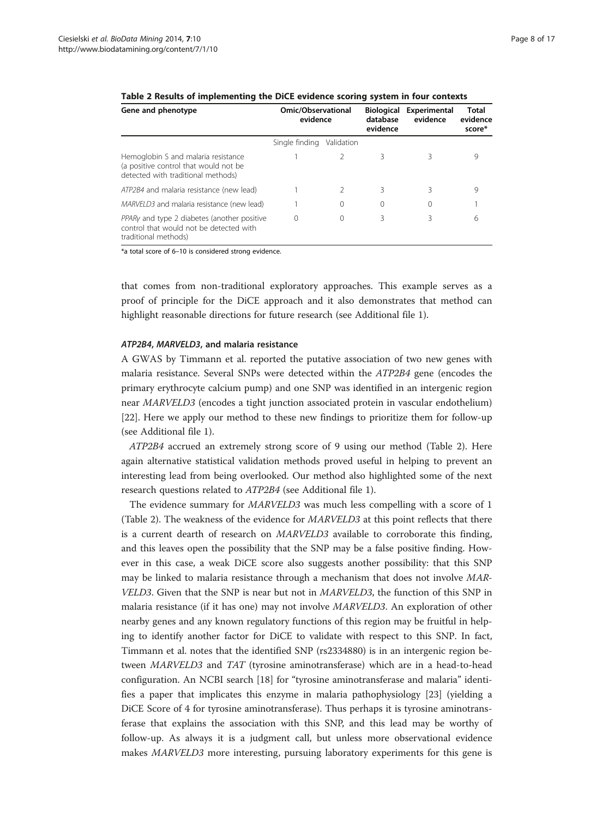| Gene and phenotype                                                                                                 | Omic/Observational<br>evidence |            | Biological<br>database<br>evidence | Experimental<br>evidence | Total<br>evidence<br>score* |
|--------------------------------------------------------------------------------------------------------------------|--------------------------------|------------|------------------------------------|--------------------------|-----------------------------|
|                                                                                                                    | Single finding                 | Validation |                                    |                          |                             |
| Hemoglobin S and malaria resistance<br>(a positive control that would not be<br>detected with traditional methods) |                                |            | 3                                  | 3                        | 9                           |
| ATP2B4 and malaria resistance (new lead)                                                                           |                                | 2          | 3                                  | 3                        | 9                           |
| MARVELD3 and malaria resistance (new lead)                                                                         |                                | 0          | 0                                  | 0                        |                             |
| PPARy and type 2 diabetes (another positive<br>control that would not be detected with<br>traditional methods)     | 0                              | 0          | 3                                  | 3                        | 6                           |

<span id="page-7-0"></span>

| Table 2 Results of implementing the DiCE evidence scoring system in four contexts |  |  |  |  |  |  |  |
|-----------------------------------------------------------------------------------|--|--|--|--|--|--|--|
|-----------------------------------------------------------------------------------|--|--|--|--|--|--|--|

\*a total score of 6–10 is considered strong evidence.

that comes from non-traditional exploratory approaches. This example serves as a proof of principle for the DiCE approach and it also demonstrates that method can highlight reasonable directions for future research (see Additional file [1\)](#page-14-0).

#### ATP2B4, MARVELD3, and malaria resistance

A GWAS by Timmann et al. reported the putative association of two new genes with malaria resistance. Several SNPs were detected within the ATP2B4 gene (encodes the primary erythrocyte calcium pump) and one SNP was identified in an intergenic region near MARVELD3 (encodes a tight junction associated protein in vascular endothelium) [[22\]](#page-15-0). Here we apply our method to these new findings to prioritize them for follow-up (see Additional file [1\)](#page-14-0).

ATP2B4 accrued an extremely strong score of 9 using our method (Table 2). Here again alternative statistical validation methods proved useful in helping to prevent an interesting lead from being overlooked. Our method also highlighted some of the next research questions related to ATP2B4 (see Additional file [1](#page-14-0)).

The evidence summary for MARVELD3 was much less compelling with a score of 1 (Table 2). The weakness of the evidence for MARVELD3 at this point reflects that there is a current dearth of research on MARVELD3 available to corroborate this finding, and this leaves open the possibility that the SNP may be a false positive finding. However in this case, a weak DiCE score also suggests another possibility: that this SNP may be linked to malaria resistance through a mechanism that does not involve MAR-VELD3. Given that the SNP is near but not in MARVELD3, the function of this SNP in malaria resistance (if it has one) may not involve MARVELD3. An exploration of other nearby genes and any known regulatory functions of this region may be fruitful in helping to identify another factor for DiCE to validate with respect to this SNP. In fact, Timmann et al. notes that the identified SNP (rs2334880) is in an intergenic region between MARVELD3 and TAT (tyrosine aminotransferase) which are in a head-to-head configuration. An NCBI search [\[18](#page-15-0)] for "tyrosine aminotransferase and malaria" identifies a paper that implicates this enzyme in malaria pathophysiology [[23\]](#page-15-0) (yielding a DiCE Score of 4 for tyrosine aminotransferase). Thus perhaps it is tyrosine aminotransferase that explains the association with this SNP, and this lead may be worthy of follow-up. As always it is a judgment call, but unless more observational evidence makes MARVELD3 more interesting, pursuing laboratory experiments for this gene is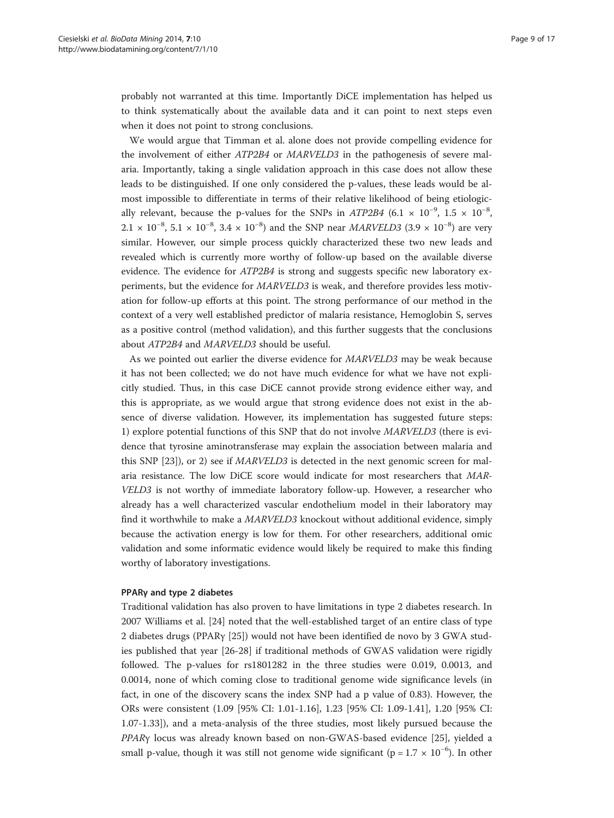probably not warranted at this time. Importantly DiCE implementation has helped us to think systematically about the available data and it can point to next steps even when it does not point to strong conclusions.

We would argue that Timman et al. alone does not provide compelling evidence for the involvement of either ATP2B4 or MARVELD3 in the pathogenesis of severe malaria. Importantly, taking a single validation approach in this case does not allow these leads to be distinguished. If one only considered the p-values, these leads would be almost impossible to differentiate in terms of their relative likelihood of being etiologically relevant, because the p-values for the SNPs in  $ATP2B4$  (6.1 × 10<sup>-9</sup>, 1.5 × 10<sup>-8</sup>,  $2.1 \times 10^{-8}$ ,  $5.1 \times 10^{-8}$ ,  $3.4 \times 10^{-8}$ ) and the SNP near *MARVELD3* (3.9  $\times$  10<sup>-8</sup>) are very similar. However, our simple process quickly characterized these two new leads and revealed which is currently more worthy of follow-up based on the available diverse evidence. The evidence for ATP2B4 is strong and suggests specific new laboratory experiments, but the evidence for MARVELD3 is weak, and therefore provides less motivation for follow-up efforts at this point. The strong performance of our method in the context of a very well established predictor of malaria resistance, Hemoglobin S, serves as a positive control (method validation), and this further suggests that the conclusions about ATP2B4 and MARVELD3 should be useful.

As we pointed out earlier the diverse evidence for MARVELD3 may be weak because it has not been collected; we do not have much evidence for what we have not explicitly studied. Thus, in this case DiCE cannot provide strong evidence either way, and this is appropriate, as we would argue that strong evidence does not exist in the absence of diverse validation. However, its implementation has suggested future steps: 1) explore potential functions of this SNP that do not involve MARVELD3 (there is evidence that tyrosine aminotransferase may explain the association between malaria and this SNP [[23\]](#page-15-0)), or 2) see if MARVELD3 is detected in the next genomic screen for malaria resistance. The low DiCE score would indicate for most researchers that MAR-VELD3 is not worthy of immediate laboratory follow-up. However, a researcher who already has a well characterized vascular endothelium model in their laboratory may find it worthwhile to make a MARVELD3 knockout without additional evidence, simply because the activation energy is low for them. For other researchers, additional omic validation and some informatic evidence would likely be required to make this finding worthy of laboratory investigations.

## PPARγ and type 2 diabetes

Traditional validation has also proven to have limitations in type 2 diabetes research. In 2007 Williams et al. [[24](#page-15-0)] noted that the well-established target of an entire class of type 2 diabetes drugs (PPARγ [[25\]](#page-15-0)) would not have been identified de novo by 3 GWA studies published that year [\[26-28](#page-15-0)] if traditional methods of GWAS validation were rigidly followed. The p-values for rs1801282 in the three studies were 0.019, 0.0013, and 0.0014, none of which coming close to traditional genome wide significance levels (in fact, in one of the discovery scans the index SNP had a p value of 0.83). However, the ORs were consistent (1.09 [95% CI: 1.01-1.16], 1.23 [95% CI: 1.09-1.41], 1.20 [95% CI: 1.07-1.33]), and a meta-analysis of the three studies, most likely pursued because the PPARγ locus was already known based on non-GWAS-based evidence [[25](#page-15-0)], yielded a small p-value, though it was still not genome wide significant ( $p = 1.7 \times 10^{-6}$ ). In other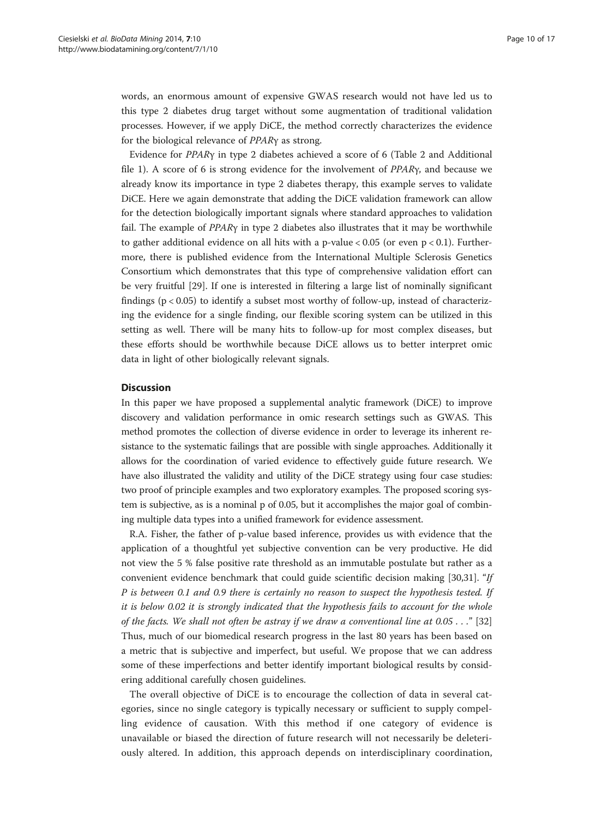words, an enormous amount of expensive GWAS research would not have led us to this type 2 diabetes drug target without some augmentation of traditional validation processes. However, if we apply DiCE, the method correctly characterizes the evidence for the biological relevance of PPARγ as strong.

Evidence for PPARγ in type 2 diabetes achieved a score of 6 (Table [2](#page-7-0) and Additional file [1\)](#page-14-0). A score of 6 is strong evidence for the involvement of  $PPAR<sub>V</sub>$ , and because we already know its importance in type 2 diabetes therapy, this example serves to validate DiCE. Here we again demonstrate that adding the DiCE validation framework can allow for the detection biologically important signals where standard approaches to validation fail. The example of  $PPAR\gamma$  in type 2 diabetes also illustrates that it may be worthwhile to gather additional evidence on all hits with a p-value  $< 0.05$  (or even  $p < 0.1$ ). Furthermore, there is published evidence from the International Multiple Sclerosis Genetics Consortium which demonstrates that this type of comprehensive validation effort can be very fruitful [\[29](#page-15-0)]. If one is interested in filtering a large list of nominally significant findings ( $p < 0.05$ ) to identify a subset most worthy of follow-up, instead of characterizing the evidence for a single finding, our flexible scoring system can be utilized in this setting as well. There will be many hits to follow-up for most complex diseases, but these efforts should be worthwhile because DiCE allows us to better interpret omic data in light of other biologically relevant signals.

# **Discussion**

In this paper we have proposed a supplemental analytic framework (DiCE) to improve discovery and validation performance in omic research settings such as GWAS. This method promotes the collection of diverse evidence in order to leverage its inherent resistance to the systematic failings that are possible with single approaches. Additionally it allows for the coordination of varied evidence to effectively guide future research. We have also illustrated the validity and utility of the DiCE strategy using four case studies: two proof of principle examples and two exploratory examples. The proposed scoring system is subjective, as is a nominal p of 0.05, but it accomplishes the major goal of combining multiple data types into a unified framework for evidence assessment.

R.A. Fisher, the father of p-value based inference, provides us with evidence that the application of a thoughtful yet subjective convention can be very productive. He did not view the 5 % false positive rate threshold as an immutable postulate but rather as a convenient evidence benchmark that could guide scientific decision making [[30,31\]](#page-15-0). "If P is between 0.1 and 0.9 there is certainly no reason to suspect the hypothesis tested. If it is below 0.02 it is strongly indicated that the hypothesis fails to account for the whole of the facts. We shall not often be astray if we draw a conventional line at  $0.05...$ " [[32](#page-15-0)] Thus, much of our biomedical research progress in the last 80 years has been based on a metric that is subjective and imperfect, but useful. We propose that we can address some of these imperfections and better identify important biological results by considering additional carefully chosen guidelines.

The overall objective of DiCE is to encourage the collection of data in several categories, since no single category is typically necessary or sufficient to supply compelling evidence of causation. With this method if one category of evidence is unavailable or biased the direction of future research will not necessarily be deleteriously altered. In addition, this approach depends on interdisciplinary coordination,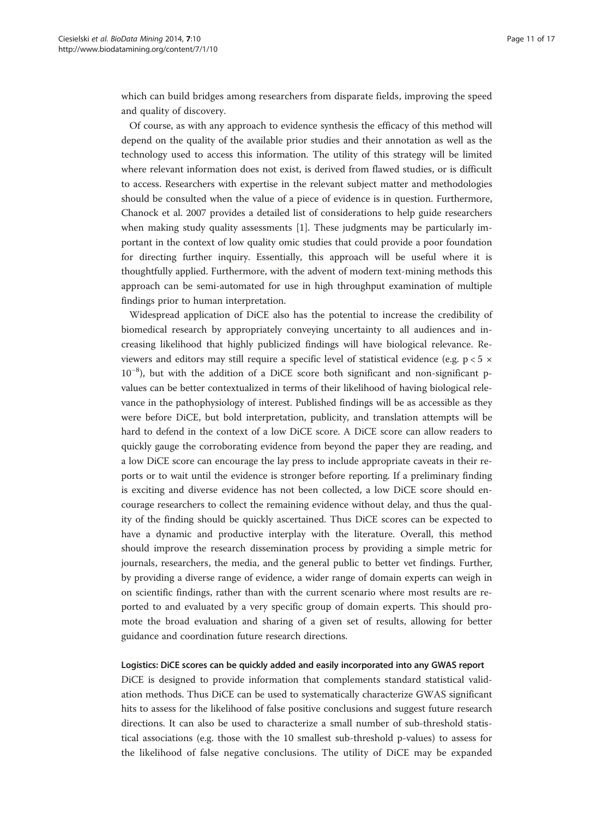which can build bridges among researchers from disparate fields, improving the speed and quality of discovery.

Of course, as with any approach to evidence synthesis the efficacy of this method will depend on the quality of the available prior studies and their annotation as well as the technology used to access this information. The utility of this strategy will be limited where relevant information does not exist, is derived from flawed studies, or is difficult to access. Researchers with expertise in the relevant subject matter and methodologies should be consulted when the value of a piece of evidence is in question. Furthermore, Chanock et al. 2007 provides a detailed list of considerations to help guide researchers when making study quality assessments [\[1](#page-15-0)]. These judgments may be particularly important in the context of low quality omic studies that could provide a poor foundation for directing further inquiry. Essentially, this approach will be useful where it is thoughtfully applied. Furthermore, with the advent of modern text-mining methods this approach can be semi-automated for use in high throughput examination of multiple findings prior to human interpretation.

Widespread application of DiCE also has the potential to increase the credibility of biomedical research by appropriately conveying uncertainty to all audiences and increasing likelihood that highly publicized findings will have biological relevance. Reviewers and editors may still require a specific level of statistical evidence (e.g.  $p < 5 \times$ 10−<sup>8</sup> ), but with the addition of a DiCE score both significant and non-significant pvalues can be better contextualized in terms of their likelihood of having biological relevance in the pathophysiology of interest. Published findings will be as accessible as they were before DiCE, but bold interpretation, publicity, and translation attempts will be hard to defend in the context of a low DiCE score. A DiCE score can allow readers to quickly gauge the corroborating evidence from beyond the paper they are reading, and a low DiCE score can encourage the lay press to include appropriate caveats in their reports or to wait until the evidence is stronger before reporting. If a preliminary finding is exciting and diverse evidence has not been collected, a low DiCE score should encourage researchers to collect the remaining evidence without delay, and thus the quality of the finding should be quickly ascertained. Thus DiCE scores can be expected to have a dynamic and productive interplay with the literature. Overall, this method should improve the research dissemination process by providing a simple metric for journals, researchers, the media, and the general public to better vet findings. Further, by providing a diverse range of evidence, a wider range of domain experts can weigh in on scientific findings, rather than with the current scenario where most results are reported to and evaluated by a very specific group of domain experts. This should promote the broad evaluation and sharing of a given set of results, allowing for better guidance and coordination future research directions.

## Logistics: DiCE scores can be quickly added and easily incorporated into any GWAS report

DiCE is designed to provide information that complements standard statistical validation methods. Thus DiCE can be used to systematically characterize GWAS significant hits to assess for the likelihood of false positive conclusions and suggest future research directions. It can also be used to characterize a small number of sub-threshold statistical associations (e.g. those with the 10 smallest sub-threshold p-values) to assess for the likelihood of false negative conclusions. The utility of DiCE may be expanded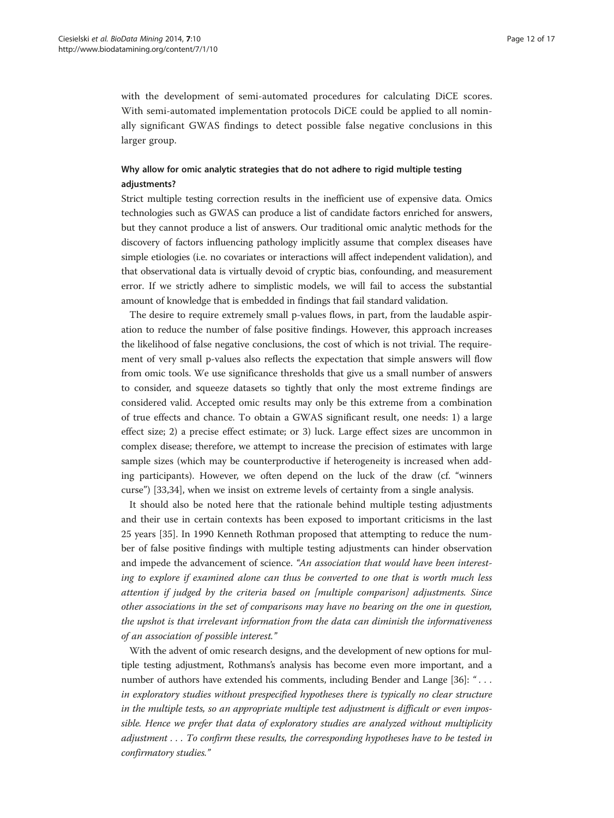with the development of semi-automated procedures for calculating DiCE scores. With semi-automated implementation protocols DiCE could be applied to all nominally significant GWAS findings to detect possible false negative conclusions in this larger group.

# Why allow for omic analytic strategies that do not adhere to rigid multiple testing adjustments?

Strict multiple testing correction results in the inefficient use of expensive data. Omics technologies such as GWAS can produce a list of candidate factors enriched for answers, but they cannot produce a list of answers. Our traditional omic analytic methods for the discovery of factors influencing pathology implicitly assume that complex diseases have simple etiologies (i.e. no covariates or interactions will affect independent validation), and that observational data is virtually devoid of cryptic bias, confounding, and measurement error. If we strictly adhere to simplistic models, we will fail to access the substantial amount of knowledge that is embedded in findings that fail standard validation.

The desire to require extremely small p-values flows, in part, from the laudable aspiration to reduce the number of false positive findings. However, this approach increases the likelihood of false negative conclusions, the cost of which is not trivial. The requirement of very small p-values also reflects the expectation that simple answers will flow from omic tools. We use significance thresholds that give us a small number of answers to consider, and squeeze datasets so tightly that only the most extreme findings are considered valid. Accepted omic results may only be this extreme from a combination of true effects and chance. To obtain a GWAS significant result, one needs: 1) a large effect size; 2) a precise effect estimate; or 3) luck. Large effect sizes are uncommon in complex disease; therefore, we attempt to increase the precision of estimates with large sample sizes (which may be counterproductive if heterogeneity is increased when adding participants). However, we often depend on the luck of the draw (cf. "winners curse") [\[33,34\]](#page-15-0), when we insist on extreme levels of certainty from a single analysis.

It should also be noted here that the rationale behind multiple testing adjustments and their use in certain contexts has been exposed to important criticisms in the last 25 years [[35](#page-15-0)]. In 1990 Kenneth Rothman proposed that attempting to reduce the number of false positive findings with multiple testing adjustments can hinder observation and impede the advancement of science. "An association that would have been interesting to explore if examined alone can thus be converted to one that is worth much less attention if judged by the criteria based on [multiple comparison] adjustments. Since other associations in the set of comparisons may have no bearing on the one in question, the upshot is that irrelevant information from the data can diminish the informativeness of an association of possible interest."

With the advent of omic research designs, and the development of new options for multiple testing adjustment, Rothmans's analysis has become even more important, and a number of authors have extended his comments, including Bender and Lange [\[36\]](#page-15-0): " ... in exploratory studies without prespecified hypotheses there is typically no clear structure in the multiple tests, so an appropriate multiple test adjustment is difficult or even impossible. Hence we prefer that data of exploratory studies are analyzed without multiplicity adjustment . . . To confirm these results, the corresponding hypotheses have to be tested in confirmatory studies."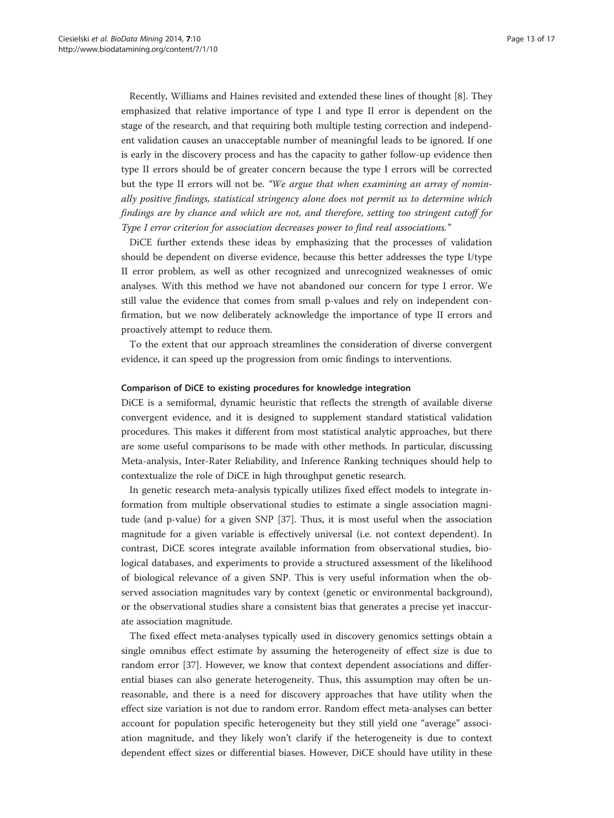Recently, Williams and Haines revisited and extended these lines of thought [[8\]](#page-15-0). They emphasized that relative importance of type I and type II error is dependent on the stage of the research, and that requiring both multiple testing correction and independent validation causes an unacceptable number of meaningful leads to be ignored. If one is early in the discovery process and has the capacity to gather follow-up evidence then type II errors should be of greater concern because the type I errors will be corrected but the type II errors will not be. "We argue that when examining an array of nominally positive findings, statistical stringency alone does not permit us to determine which findings are by chance and which are not, and therefore, setting too stringent cutoff for Type I error criterion for association decreases power to find real associations."

DiCE further extends these ideas by emphasizing that the processes of validation should be dependent on diverse evidence, because this better addresses the type I/type II error problem, as well as other recognized and unrecognized weaknesses of omic analyses. With this method we have not abandoned our concern for type I error. We still value the evidence that comes from small p-values and rely on independent confirmation, but we now deliberately acknowledge the importance of type II errors and proactively attempt to reduce them.

To the extent that our approach streamlines the consideration of diverse convergent evidence, it can speed up the progression from omic findings to interventions.

#### Comparison of DiCE to existing procedures for knowledge integration

DiCE is a semiformal, dynamic heuristic that reflects the strength of available diverse convergent evidence, and it is designed to supplement standard statistical validation procedures. This makes it different from most statistical analytic approaches, but there are some useful comparisons to be made with other methods. In particular, discussing Meta-analysis, Inter-Rater Reliability, and Inference Ranking techniques should help to contextualize the role of DiCE in high throughput genetic research.

In genetic research meta-analysis typically utilizes fixed effect models to integrate information from multiple observational studies to estimate a single association magnitude (and p-value) for a given SNP [[37](#page-15-0)]. Thus, it is most useful when the association magnitude for a given variable is effectively universal (i.e. not context dependent). In contrast, DiCE scores integrate available information from observational studies, biological databases, and experiments to provide a structured assessment of the likelihood of biological relevance of a given SNP. This is very useful information when the observed association magnitudes vary by context (genetic or environmental background), or the observational studies share a consistent bias that generates a precise yet inaccurate association magnitude.

The fixed effect meta-analyses typically used in discovery genomics settings obtain a single omnibus effect estimate by assuming the heterogeneity of effect size is due to random error [[37](#page-15-0)]. However, we know that context dependent associations and differential biases can also generate heterogeneity. Thus, this assumption may often be unreasonable, and there is a need for discovery approaches that have utility when the effect size variation is not due to random error. Random effect meta-analyses can better account for population specific heterogeneity but they still yield one "average" association magnitude, and they likely won't clarify if the heterogeneity is due to context dependent effect sizes or differential biases. However, DiCE should have utility in these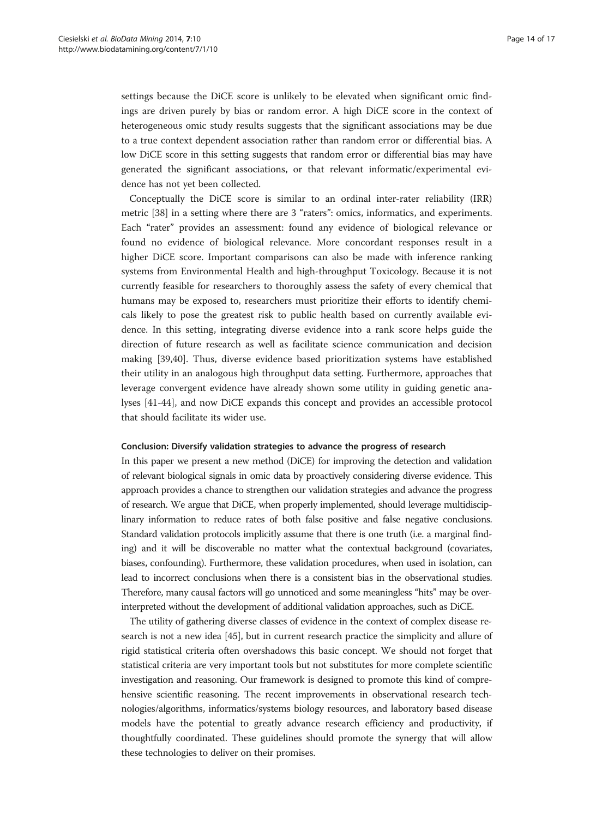settings because the DiCE score is unlikely to be elevated when significant omic findings are driven purely by bias or random error. A high DiCE score in the context of heterogeneous omic study results suggests that the significant associations may be due to a true context dependent association rather than random error or differential bias. A low DiCE score in this setting suggests that random error or differential bias may have generated the significant associations, or that relevant informatic/experimental evidence has not yet been collected.

Conceptually the DiCE score is similar to an ordinal inter-rater reliability (IRR) metric [\[38](#page-16-0)] in a setting where there are 3 "raters": omics, informatics, and experiments. Each "rater" provides an assessment: found any evidence of biological relevance or found no evidence of biological relevance. More concordant responses result in a higher DiCE score. Important comparisons can also be made with inference ranking systems from Environmental Health and high-throughput Toxicology. Because it is not currently feasible for researchers to thoroughly assess the safety of every chemical that humans may be exposed to, researchers must prioritize their efforts to identify chemicals likely to pose the greatest risk to public health based on currently available evidence. In this setting, integrating diverse evidence into a rank score helps guide the direction of future research as well as facilitate science communication and decision making [[39](#page-16-0),[40](#page-16-0)]. Thus, diverse evidence based prioritization systems have established their utility in an analogous high throughput data setting. Furthermore, approaches that leverage convergent evidence have already shown some utility in guiding genetic analyses [\[41-44](#page-16-0)], and now DiCE expands this concept and provides an accessible protocol that should facilitate its wider use.

#### Conclusion: Diversify validation strategies to advance the progress of research

In this paper we present a new method (DiCE) for improving the detection and validation of relevant biological signals in omic data by proactively considering diverse evidence. This approach provides a chance to strengthen our validation strategies and advance the progress of research. We argue that DiCE, when properly implemented, should leverage multidisciplinary information to reduce rates of both false positive and false negative conclusions. Standard validation protocols implicitly assume that there is one truth (i.e. a marginal finding) and it will be discoverable no matter what the contextual background (covariates, biases, confounding). Furthermore, these validation procedures, when used in isolation, can lead to incorrect conclusions when there is a consistent bias in the observational studies. Therefore, many causal factors will go unnoticed and some meaningless "hits" may be overinterpreted without the development of additional validation approaches, such as DiCE.

The utility of gathering diverse classes of evidence in the context of complex disease research is not a new idea [\[45\]](#page-16-0), but in current research practice the simplicity and allure of rigid statistical criteria often overshadows this basic concept. We should not forget that statistical criteria are very important tools but not substitutes for more complete scientific investigation and reasoning. Our framework is designed to promote this kind of comprehensive scientific reasoning. The recent improvements in observational research technologies/algorithms, informatics/systems biology resources, and laboratory based disease models have the potential to greatly advance research efficiency and productivity, if thoughtfully coordinated. These guidelines should promote the synergy that will allow these technologies to deliver on their promises.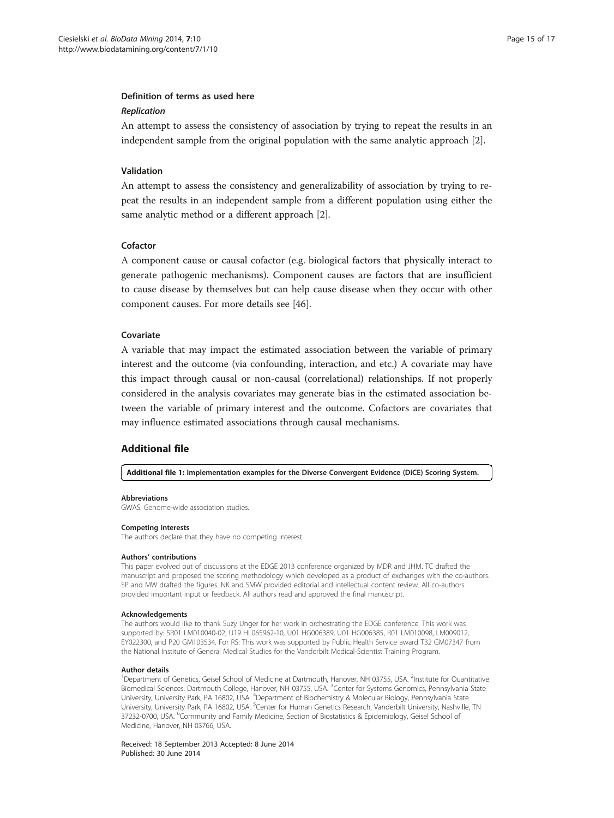## <span id="page-14-0"></span>Definition of terms as used here

#### Replication

An attempt to assess the consistency of association by trying to repeat the results in an independent sample from the original population with the same analytic approach [[2\]](#page-15-0).

#### Validation

An attempt to assess the consistency and generalizability of association by trying to repeat the results in an independent sample from a different population using either the same analytic method or a different approach [\[2](#page-15-0)].

## Cofactor

A component cause or causal cofactor (e.g. biological factors that physically interact to generate pathogenic mechanisms). Component causes are factors that are insufficient to cause disease by themselves but can help cause disease when they occur with other component causes. For more details see [\[46\]](#page-16-0).

## Covariate

A variable that may impact the estimated association between the variable of primary interest and the outcome (via confounding, interaction, and etc.) A covariate may have this impact through causal or non-causal (correlational) relationships. If not properly considered in the analysis covariates may generate bias in the estimated association between the variable of primary interest and the outcome. Cofactors are covariates that may influence estimated associations through causal mechanisms.

## Additional file

[Additional file 1:](http://www.biomedcentral.com/content/supplementary/1756-0381-7-10-S1.docx) Implementation examples for the Diverse Convergent Evidence (DiCE) Scoring System.

#### Abbreviations

GWAS: Genome-wide association studies.

#### Competing interests

The authors declare that they have no competing interest.

#### Authors' contributions

This paper evolved out of discussions at the EDGE 2013 conference organized by MDR and JHM. TC drafted the manuscript and proposed the scoring methodology which developed as a product of exchanges with the co-authors. SP and MW drafted the figures. NK and SMW provided editorial and intellectual content review. All co-authors provided important input or feedback. All authors read and approved the final manuscript.

#### Acknowledgements

The authors would like to thank Suzy Unger for her work in orchestrating the EDGE conference. This work was supported by: 5R01 LM010040-02, U19 HL065962-10, U01 HG006389, U01 HG006385, R01 LM010098, LM009012, EY022300, and P20 GM103534. For RS: This work was supported by Public Health Service award T32 GM07347 from the National Institute of General Medical Studies for the Vanderbilt Medical-Scientist Training Program.

#### Author details

<sup>1</sup>Department of Genetics, Geisel School of Medicine at Dartmouth, Hanover, NH 03755, USA. <sup>2</sup>Institute for Quantitative Biomedical Sciences, Dartmouth College, Hanover, NH 03755, USA. <sup>3</sup>Center for Systems Genomics, Pennsylvania State University, University Park, PA 16802, USA. <sup>4</sup>Department of Biochemistry & Molecular Biology, Pennsylvania State University, University Park, PA 16802, USA. <sup>5</sup>Center for Human Genetics Research, Vanderbilt University, Nashville, TN 37232-0700, USA. <sup>6</sup>Community and Family Medicine, Section of Biostatistics & Epidemiology, Geisel School of Medicine, Hanover, NH 03766, USA.

Received: 18 September 2013 Accepted: 8 June 2014 Published: 30 June 2014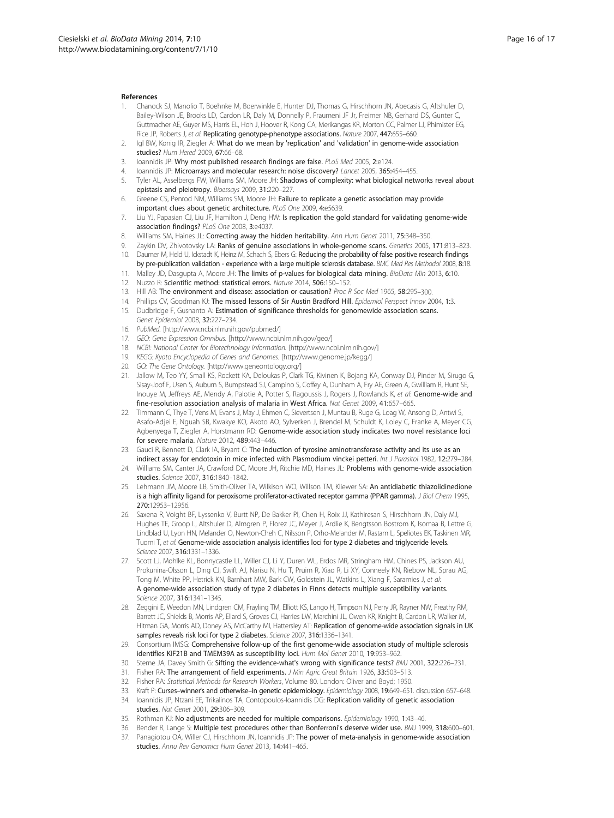#### <span id="page-15-0"></span>References

- 1. Chanock SJ, Manolio T, Boehnke M, Boerwinkle E, Hunter DJ, Thomas G, Hirschhorn JN, Abecasis G, Altshuler D, Bailey-Wilson JE, Brooks LD, Cardon LR, Daly M, Donnelly P, Fraumeni JF Jr, Freimer NB, Gerhard DS, Gunter C, Guttmacher AE, Guyer MS, Harris EL, Hoh J, Hoover R, Kong CA, Merikangas KR, Morton CC, Palmer LJ, Phimister EG, Rice JP, Roberts J, et al: Replicating genotype-phenotype associations. Nature 2007, 447:655–660.
- 2. Igl BW, Konig IR, Ziegler A: What do we mean by 'replication' and 'validation' in genome-wide association studies? Hum Hered 2009, 67:66–68.
- 3. Ioannidis JP: Why most published research findings are false. PLoS Med 2005, 2:e124.
- 4. Ioannidis JP: Microarrays and molecular research: noise discovery? Lancet 2005, 365:454-455.
- 5. Tyler AL, Asselbergs FW, Williams SM, Moore JH: Shadows of complexity: what biological networks reveal about epistasis and pleiotropy. Bioessays 2009, 31:220–227.
- 6. Greene CS, Penrod NM, Williams SM, Moore JH: Failure to replicate a genetic association may provide important clues about genetic architecture. PLoS One 2009, 4:e5639.
- 7. Liu YJ, Papasian CJ, Liu JF, Hamilton J, Deng HW: Is replication the gold standard for validating genome-wide association findings? PLoS One 2008, 3:e4037.
- 8. Williams SM, Haines JL: Correcting away the hidden heritability. Ann Hum Genet 2011, 75:348-350.
- Zaykin DV, Zhivotovsky LA: Ranks of genuine associations in whole-genome scans. Genetics 2005, 171:813-823. 10. Daumer M, Held U, Ickstadt K, Heinz M, Schach S, Ebers G: Reducing the probability of false positive research findings
- by pre-publication validation experience with a large multiple sclerosis database. BMC Med Res Methodol 2008, 8:18. 11. Malley JD, Dasqupta A, Moore JH: The limits of p-values for biological data mining. BioData Min 2013, 6:10.
- 
- 12. Nuzzo R: Scientific method: statistical errors. Nature 2014, 506:150–152.
- 13. Hill AB: The environment and disease: association or causation? Proc R Soc Med 1965, 58:295-300.
- 14. Phillips CV, Goodman KJ: The missed lessons of Sir Austin Bradford Hill. Epidemiol Perspect Innov 2004, 1:3. 15. Dudbridge F, Gusnanto A: Estimation of significance thresholds for genomewide association scans.
- Genet Epidemiol 2008, 32:227–234.
- 16. PubMed. [\[http://www.ncbi.nlm.nih.gov/pubmed/\]](http://www.ncbi.nlm.nih.gov/pubmed/)
- 17. GEO: Gene Expression Omnibus. [<http://www.ncbi.nlm.nih.gov/geo/>]
- 18. NCBI: National Center for Biotechnology Information. [[http://www.ncbi.nlm.nih.gov/\]](http://www.ncbi.nlm.nih.gov/)
- 19. KEGG: Kyoto Encyclopedia of Genes and Genomes. [\[http://www.genome.jp/kegg/](http://www.genome.jp/kegg/)]
- 20. GO: The Gene Ontology. [[http://www.geneontology.org/\]](http://www.geneontology.org/)
- 21. Jallow M, Teo YY, Small KS, Rockett KA, Deloukas P, Clark TG, Kivinen K, Bojang KA, Conway DJ, Pinder M, Sirugo G, Sisay-Joof F, Usen S, Auburn S, Bumpstead SJ, Campino S, Coffey A, Dunham A, Fry AE, Green A, Gwilliam R, Hunt SE, Inouye M, Jeffreys AE, Mendy A, Palotie A, Potter S, Ragoussis J, Rogers J, Rowlands K, et al: Genome-wide and fine-resolution association analysis of malaria in West Africa. Nat Genet 2009, 41:657-665.
- 22. Timmann C, Thye T, Vens M, Evans J, May J, Ehmen C, Sievertsen J, Muntau B, Ruge G, Loag W, Ansong D, Antwi S, Asafo-Adjei E, Nguah SB, Kwakye KO, Akoto AO, Sylverken J, Brendel M, Schuldt K, Loley C, Franke A, Meyer CG, Agbenyega T, Ziegler A, Horstmann RD: Genome-wide association study indicates two novel resistance loci for severe malaria. Nature 2012, 489:443–446.
- 23. Gauci R, Bennett D, Clark IA, Bryant C: The induction of tyrosine aminotransferase activity and its use as an indirect assay for endotoxin in mice infected with Plasmodium vinckei petteri. Int J Parasitol 1982, 12:279-284.
- 24. Williams SM, Canter JA, Crawford DC, Moore JH, Ritchie MD, Haines JL: Problems with genome-wide association studies. Science 2007, 316:1840–1842.
- 25. Lehmann JM, Moore LB, Smith-Oliver TA, Wilkison WO, Willson TM, Kliewer SA: An antidiabetic thiazolidinedione is a high affinity ligand for peroxisome proliferator-activated receptor gamma (PPAR gamma). *J Biol Chem* 1995, 270:12953–12956.
- 26. Saxena R, Voight BF, Lyssenko V, Burtt NP, De Bakker PI, Chen H, Roix JJ, Kathiresan S, Hirschhorn JN, Daly MJ, Hughes TE, Groop L, Altshuler D, Almgren P, Florez JC, Meyer J, Ardlie K, Bengtsson Bostrom K, Isomaa B, Lettre G, Lindblad U, Lyon HN, Melander O, Newton-Cheh C, Nilsson P, Orho-Melander M, Rastam L, Speliotes EK, Taskinen MR, Tuomi T, et al: Genome-wide association analysis identifies loci for type 2 diabetes and triglyceride levels. Science 2007, 316:1331–1336.
- 27. Scott LJ, Mohlke KL, Bonnycastle LL, Willer CJ, Li Y, Duren WL, Erdos MR, Stringham HM, Chines PS, Jackson AU, Prokunina-Olsson L, Ding CJ, Swift AJ, Narisu N, Hu T, Pruim R, Xiao R, Li XY, Conneely KN, Riebow NL, Sprau AG, Tong M, White PP, Hetrick KN, Barnhart MW, Bark CW, Goldstein JL, Watkins L, Xiang F, Saramies J, et al: A genome-wide association study of type 2 diabetes in Finns detects multiple susceptibility variants. Science 2007, 316:1341-1345.
- 28. Zeggini E, Weedon MN, Lindgren CM, Frayling TM, Elliott KS, Lango H, Timpson NJ, Perry JR, Rayner NW, Freathy RM, Barrett JC, Shields B, Morris AP, Ellard S, Groves CJ, Harries LW, Marchini JL, Owen KR, Knight B, Cardon LR, Walker M, Hitman GA, Morris AD, Doney AS, McCarthy MI, Hattersley AT: Replication of genome-wide association signals in UK samples reveals risk loci for type 2 diabetes. Science 2007, 316:1336–1341.
- 29. Consortium IMSG: Comprehensive follow-up of the first genome-wide association study of multiple sclerosis identifies KIF21B and TMEM39A as susceptibility loci. Hum Mol Genet 2010, 19:953-962
- 30. Sterne JA, Davey Smith G: Sifting the evidence-what's wrong with significance tests? BMJ 2001, 322:226–231.
- 31. Fisher RA: The arrangement of field experiments. J Min Agric Great Britain 1926, 33:503-513.
- 32. Fisher RA: Statistical Methods for Research Workers, Volume 80. London: Oliver and Boyd; 1950.
- 33. Kraft P: Curses-winner's and otherwise-in genetic epidemiology. Epidemiology 2008, 19:649-651. discussion 657-648.
- 34. Ioannidis JP, Ntzani EE, Trikalinos TA, Contopoulos-Ioannidis DG: Replication validity of genetic association studies. Nat Genet 2001, 29:306–309.
- 35. Rothman KJ: No adjustments are needed for multiple comparisons. Epidemiology 1990, 1:43-46.
- 36. Bender R, Lange S: Multiple test procedures other than Bonferroni's deserve wider use. BMJ 1999, 318:600–601. 37. Panagiotou OA, Willer CJ, Hirschhorn JN, Ioannidis JP: The power of meta-analysis in genome-wide association studies. Annu Rev Genomics Hum Genet 2013, 14:441-465.